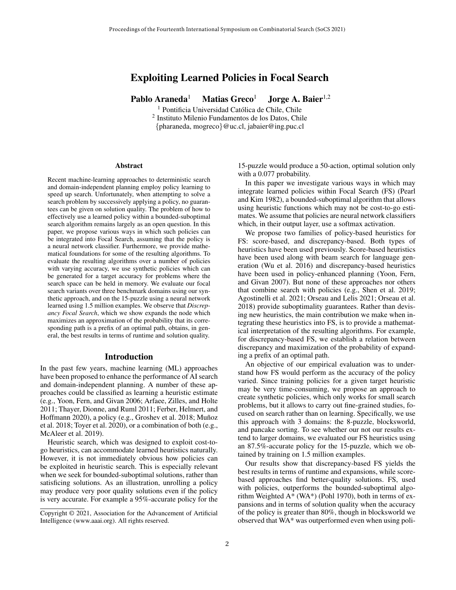# Exploiting Learned Policies in Focal Search

Pablo Araneda<sup>1</sup> Matias Greco<sup>1</sup> Jorge A. Baier<sup>1,2</sup>

<sup>1</sup> Pontificia Universidad Católica de Chile, Chile 2 Instituto Milenio Fundamentos de los Datos, Chile {pharaneda, mogreco}@uc.cl, jabaier@ing.puc.cl

#### Abstract

Recent machine-learning approaches to deterministic search and domain-independent planning employ policy learning to speed up search. Unfortunately, when attempting to solve a search problem by successively applying a policy, no guarantees can be given on solution quality. The problem of how to effectively use a learned policy within a bounded-suboptimal search algorithm remains largely as an open question. In this paper, we propose various ways in which such policies can be integrated into Focal Search, assuming that the policy is a neural network classifier. Furthermore, we provide mathematical foundations for some of the resulting algorithms. To evaluate the resulting algorithms over a number of policies with varying accuracy, we use synthetic policies which can be generated for a target accuracy for problems where the search space can be held in memory. We evaluate our focal search variants over three benchmark domains using our synthetic approach, and on the 15-puzzle using a neural network learned using 1.5 million examples. We observe that *Discrepancy Focal Search*, which we show expands the node which maximizes an approximation of the probability that its corresponding path is a prefix of an optimal path, obtains, in general, the best results in terms of runtime and solution quality.

### Introduction

In the past few years, machine learning (ML) approaches have been proposed to enhance the performance of AI search and domain-independent planning. A number of these approaches could be classified as learning a heuristic estimate (e.g., Yoon, Fern, and Givan 2006; Arfaee, Zilles, and Holte 2011; Thayer, Dionne, and Ruml 2011; Ferber, Helmert, and Hoffmann 2020), a policy (e.g., Groshev et al. 2018; Muñoz et al. 2018; Toyer et al. 2020), or a combination of both (e.g., McAleer et al. 2019).

Heuristic search, which was designed to exploit cost-togo heuristics, can accommodate learned heuristics naturally. However, it is not immediately obvious how policies can be exploited in heuristic search. This is especially relevant when we seek for bounded-suboptimal solutions, rather than satisficing solutions. As an illustration, unrolling a policy may produce very poor quality solutions even if the policy is very accurate. For example a 95%-accurate policy for the

15-puzzle would produce a 50-action, optimal solution only with a 0.077 probability.

In this paper we investigate various ways in which may integrate learned policies within Focal Search (FS) (Pearl and Kim 1982), a bounded-suboptimal algorithm that allows using heuristic functions which may not be cost-to-go estimates. We assume that policies are neural network classifiers which, in their output layer, use a softmax activation.

We propose two families of policy-based heuristics for FS: score-based, and discrepancy-based. Both types of heuristics have been used previously. Score-based heuristics have been used along with beam search for language generation (Wu et al. 2016) and discrepancy-based heuristics have been used in policy-enhanced planning (Yoon, Fern, and Givan 2007). But none of these approaches nor others that combine search with policies (e.g., Shen et al. 2019; Agostinelli et al. 2021; Orseau and Lelis 2021; Orseau et al. 2018) provide suboptimality guarantees. Rather than devising new heuristics, the main contribution we make when integrating these heuristics into FS, is to provide a mathematical interpretation of the resulting algorithms. For example, for discrepancy-based FS, we establish a relation between discrepancy and maximization of the probability of expanding a prefix of an optimal path.

An objective of our empirical evaluation was to understand how FS would perform as the accuracy of the policy varied. Since training policies for a given target heuristic may be very time-consuming, we propose an approach to create synthetic policies, which only works for small search problems, but it allows to carry out fine-grained studies, focused on search rather than on learning. Specifically, we use this approach with 3 domains: the 8-puzzle, blocksworld, and pancake sorting. To see whether our not our results extend to larger domains, we evaluated our FS heuristics using an 87.5%-accurate policy for the 15-puzzle, which we obtained by training on 1.5 million examples.

Our results show that discrepancy-based FS yields the best results in terms of runtime and expansions, while scorebased approaches find better-quality solutions. FS, used with policies, outperforms the bounded-suboptimal algorithm Weighted A\* (WA\*) (Pohl 1970), both in terms of expansions and in terms of solution quality when the accuracy of the policy is greater than 80%, though in blocksworld we observed that WA\* was outperformed even when using poli-

Copyright © 2021, Association for the Advancement of Artificial Intelligence (www.aaai.org). All rights reserved.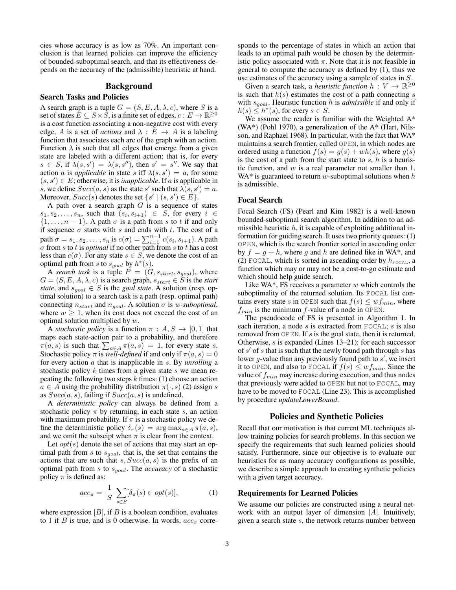cies whose accuracy is as low as 70%. An important conclusion is that learned policies can improve the efficiency of bounded-suboptimal search, and that its effectiveness depends on the accuracy of the (admissible) heuristic at hand.

# Background

### Search Tasks and Policies

A search graph is a tuple  $G = (S, E, A, \lambda, c)$ , where S is a set of states  $\overline{E} \subseteq S \times \overline{S}$ , is a finite set of edges,  $c : E \to \mathbb{R}^{\geq 0}$ is a cost function associating a non-negative cost with every edge, A is a set of *actions* and  $\lambda : E \to A$  is a labeling function that associates each arc of the graph with an action. Function  $\lambda$  is such that all edges that emerge from a given state are labeled with a different action; that is, for every  $s \in S$ , if  $\lambda(s, s') = \lambda(s, s'')$ , then  $s' = s''$ . We say that action a is *applicable* in state s iff  $\lambda(s, s') = a$ , for some  $(s, s') \in E$ ; otherwise, it is *inapplicable*. If *a* is applicable in s, we define  $Succ(a, s)$  as the state s' such that  $\lambda(s, s') = a$ . Moreover,  $Succ(s)$  denotes the set  $\{s' \mid (s, s') \in E\}$ .

A path over a search graph  $G$  is a sequence of states  $s_1, s_2, \ldots, s_n$ , such that  $(s_i, s_{i+1}) \in S$ , for every  $i \in$  $\{1, \ldots, n-1\}$ . A path  $\sigma$  is a path from s to t if and only if sequence  $\sigma$  starts with s and ends with t. The cost of a path  $\sigma = s_1, s_2, \dots, s_n$  is  $c(\sigma) = \sum_{i=1}^{n-1} c(s_i, s_{i+1})$ . A path  $\sigma$  from s to t is *optimal* if no other path from s to t has a cost less than  $c(\sigma)$ . For any state  $s \in S$ , we denote the cost of an optimal path from s to  $s_{goal}$  by  $h^*(s)$ .

A *search task* is a tuple  $P = (G, s_{start}, s_{goal})$ , where  $G = (S, E, A, \lambda, c)$  is a search graph,  $s_{start} \in S$  is the *start state*, and  $s_{goal} \in S$  is the *goal state*. A solution (resp. optimal solution) to a search task is a path (resp. optimal path) connecting  $n_{start}$  and  $n_{goal}$ . A solution  $\sigma$  is w-suboptimal, where  $w \geq 1$ , when its cost does not exceed the cost of an optimal solution multiplied by  $w$ .

A *stochastic policy* is a function  $\pi : A, S \rightarrow [0, 1]$  that maps each state-action pair to a probability, and therefore  $\pi(a, s)$  is such that  $\sum_{a \in A} \pi(a, s) = 1$ , for every state s. Stochastic policy  $\pi$  is *well-defined* if and only if  $\pi(a, s) = 0$ for every action a that is inapplicable in s. By *unrolling* a stochastic policy  $k$  times from a given state  $s$  we mean repeating the following two steps  $k$  times: (1) choose an action  $a \in A$  using the probability distribution  $\pi(\cdot, s)$  (2) assign s as  $Succ(a, s)$ , failing if  $Succ(a, s)$  is undefined.

A *deterministic policy* can always be defined from a stochastic policy  $\pi$  by returning, in each state s, an action with maximum probability. If  $\pi$  is a stochastic policy we define the deterministic policy  $\delta_{\pi}(s) = \arg \max_{a \in A} \pi(a, s)$ , and we omit the subscipt when  $\pi$  is clear from the context.

Let  $opt(s)$  denote the set of actions that may start an optimal path from s to  $s_{goal}$ , that is, the set that contains the actions that are such that  $s, Succ(a, s)$  is the prefix of an optimal path from s to sgoal. The *accuracy* of a stochastic policy  $\pi$  is defined as:

$$
acc_{\pi} = \frac{1}{|S|} \sum_{s \in S} [\delta_{\pi}(s) \in opt(s)], \tag{1}
$$

where expression  $[B]$ , if B is a boolean condition, evaluates to 1 if B is true, and is 0 otherwise. In words,  $acc_{\pi}$  corre-

sponds to the percentage of states in which an action that leads to an optimal path would be chosen by the deterministic policy associated with  $\pi$ . Note that it is not feasible in general to compute the accuracy as defined by (1), thus we use estimates of the accuracy using a sample of states in S.

Given a search task, a *heuristic function*  $h: V \to \mathbb{R}^{\geq 0}$ is such that  $h(s)$  estimates the cost of a path connecting s with  $s_{goal}$ . Heuristic function h is *admissible* if and only if  $h(s) \leq h^*(s)$ , for every  $s \in S$ .

We assume the reader is familiar with the Weighted A\* (WA\*) (Pohl 1970), a generalization of the A\* (Hart, Nilsson, and Raphael 1968). In particular, with the fact that WA\* maintains a search frontier, called OPEN, in which nodes are ordered using a function  $f(s) = g(s) + wh(s)$ , where  $g(s)$ is the cost of a path from the start state to  $s$ ,  $h$  is a heuristic function, and  $w$  is a real parameter not smaller than 1. WA\* is guaranteed to return w-suboptimal solutions when  $h$ is admissible.

### Focal Search

Focal Search (FS) (Pearl and Kim 1982) is a well-known bounded-suboptimal search algorithm. In addition to an admissible heuristic  $h$ , it is capable of exploiting additional information for guiding search. It uses two priority queues: (1) OPEN, which is the search frontier sorted in ascending order by  $f = g + h$ , where g and h are defined like in WA\*, and (2) FOCAL, which is sorted in ascending order by  $h_{\text{FOCAL}}$ , a function which may or may not be a cost-to-go estimate and which should help guide search.

Like WA $^*$ , FS receives a parameter w which controls the suboptimality of the returned solution. Its FOCAL list contains every state s in OPEN such that  $f(s) \leq wf_{min}$ , where  $f_{min}$  is the minimum f-value of a node in OPEN.

The pseudocode of FS is presented in Algorithm 1. In each iteration, a node s is extracted from FOCAL; s is also removed from OPEN. If s is the goal state, then it is returned. Otherwise, s is expanded (Lines 13–21): for each successor of  $s'$  of s that is such that the newly found path through  $s$  has lower g-value than any previously found path to  $s'$ , we insert it to OPEN, and also to FOCAL if  $f(s) \leq wf_{min}$ . Since the value of  $f_{min}$  may increase during execution, and thus nodes that previously were added to OPEN but not to FOCAL, may have to be moved to FOCAL (Line 23). This is accomplished by procedure *updateLowerBound*.

# Policies and Synthetic Policies

Recall that our motivation is that current ML techniques allow training policies for search problems. In this section we specify the requirements that such learned policies should satisfy. Furthermore, since our objective is to evaluate our heuristics for as many accuracy configurations as possible, we describe a simple approach to creating synthetic policies with a given target accuracy.

#### Requirements for Learned Policies

We assume our policies are constructed using a neural network with an output layer of dimension  $|A|$ . Intuitively, given a search state s, the network returns number between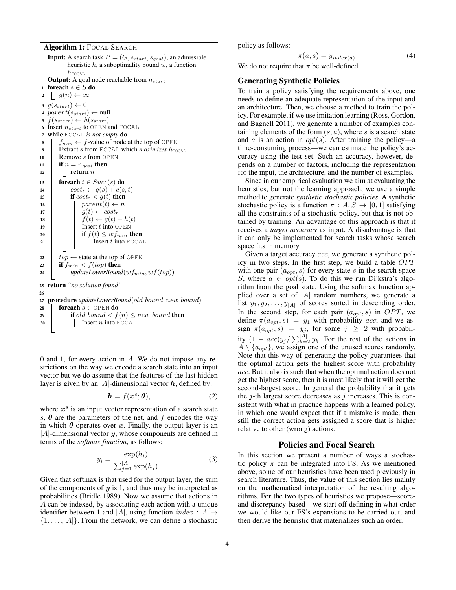Algorithm 1: FOCAL SEARCH

**Input:** A search task  $P = (G, s_{start}, s_{goal})$ , an admissible heuristic  $h$ , a suboptimality bound  $w$ , a function  $h_{\mbox{\tiny FCAL}}$ **Output:** A goal node reachable from  $n_{start}$ 1 foreach  $s \in S$ do 2  $g(n) \leftarrow \infty$ 3  $g(s_{start}) \leftarrow 0$ 4  $\mathit{parent}(s_{start}) \leftarrow \text{null}$ 5  $f(s_{start}) \leftarrow h(s_{start})$ 6 Insert  $n_{start}$  to OPEN and FOCAL <sup>7</sup> while FOCAL *is not empty* do 8 fmin  $\leftarrow$  f-value of node at the top of OPEN Extract s from FOCAL which *maximizes*  $h_{\text{FOCAL}}$ 10 | Remove s from OPEN 11 if  $n = n_{goal}$  then 12 **return**  $n$ 13 **foreach**  $t \in Succ(s)$  do 14  $\vert \qquad \vert \quad cost_t \leftarrow g(s) + c(s, t)$ 15 **if**  $cost_t < g(t)$  then 16 | |  $parent(t) \leftarrow n$ 17  $g(t) \leftarrow cost_t$ 18 |  $f(t) \leftarrow g(t) + h(t)$  $19$  | | Insert t into OPEN 20 **if**  $f(t) \leq wf_{min}$  then  $21$  | | | Insert t into FOCAL  $22 \mid top \leftarrow$  state at the top of OPEN 23 if  $f_{min} < f(top)$  then 24 *updateLowerBound* $(wf_{min}, wf(top))$ <sup>25</sup> return *"no solution found"* 26 27 **procedure** *updateLowerBound*(*old\_bound*, *new\_bound*) 28  $\vert$  foreach  $s \in \text{OPEN}$  do 29 if old\_bound  $\lt f(n) \leq new$ \_bound then  $30$  | | Insert *n* into FOCAL

0 and 1, for every action in A. We do not impose any restrictions on the way we encode a search state into an input vector but we do assume that the features of the last hidden layer is given by an |A|-dimensional vector  $h$ , defined by:

$$
h = f(x^s; \theta), \tag{2}
$$

where  $x^s$  is an input vector representation of a search state s,  $\theta$  are the parameters of the net, and f encodes the way in which  $\theta$  operates over x. Finally, the output layer is an  $|A|$ -dimensional vector y, whose components are defined in terms of the *softmax function*, as follows:

$$
y_i = \frac{\exp(h_i)}{\sum_{j=1}^{|A|} \exp(h_j)}.
$$
 (3)

Given that softmax is that used for the output layer, the sum of the components of  $y$  is 1, and thus may be interpreted as probabilities (Bridle 1989). Now we assume that actions in A can be indexed, by associating each action with a unique identifier between 1 and |A|, using function  $index : A \rightarrow$  $\{1, \ldots, |A|\}$ . From the network, we can define a stochastic policy as follows:

$$
\pi(a,s) = y_{index(a)} \tag{4}
$$

We do not require that  $\pi$  be well-defined.

# Generating Synthetic Policies

To train a policy satisfying the requirements above, one needs to define an adequate representation of the input and an architecture. Then, we choose a method to train the policy. For example, if we use imitation learning (Ross, Gordon, and Bagnell 2011), we generate a number of examples containing elements of the form  $(s, a)$ , where s is a search state and a is an action in  $opt(s)$ . After training the policy—a time-consuming process—we can estimate the policy's accuracy using the test set. Such an accuracy, however, depends on a number of factors, including the representation for the input, the architecture, and the number of examples.

Since in our empirical evaluation we aim at evaluating the heuristics, but not the learning approach, we use a simple method to generate *synthetic stochastic policies*. A synthetic stochastic policy is a function  $\pi : A, S \rightarrow [0, 1]$  satisfying all the constraints of a stochastic policy, but that is not obtained by training. An advantage of this approach is that it receives a *target accuracy* as input. A disadvantage is that it can only be implemented for search tasks whose search space fits in memory.

Given a target accuracy *acc*, we generate a synthetic policy in two steps. In the first step, we build a table  $OPT$ with one pair  $(a_{opt}, s)$  for every state s in the search space S, where  $a \in opt(s)$ . To do this we run Dijkstra's algorithm from the goal state. Using the softmax function applied over a set of  $|A|$  random numbers, we generate a list  $y_1, y_2, \ldots, y_{|A|}$  of scores sorted in descending order. In the second step, for each pair  $(a_{opt}, s)$  in OPT, we define  $\pi(a_{opt}, s) = y_1$  with probability acc; and we assign  $\pi(a_{opt}, s) = y_j$ , for some  $j \geq 2$  with probability  $(1 - acc)y_j / \sum_{k=2}^{|A|} y_k$ . For the rest of the actions in  $A \setminus \{a_{opt}\}\$ , we assign one of the unused scores randomly. Note that this way of generating the policy guarantees that the optimal action gets the highest score with probability acc. But it also is such that when the optimal action does not get the highest score, then it is most likely that it will get the second-largest score. In general the probability that it gets the  $j$ -th largest score decreases as  $j$  increases. This is consistent with what in practice happens with a learned policy, in which one would expect that if a mistake is made, then still the correct action gets assigned a score that is higher relative to other (wrong) actions.

### Policies and Focal Search

In this section we present a number of ways a stochastic policy  $\pi$  can be integrated into FS. As we mentioned above, some of our heuristics have been used previously in search literature. Thus, the value of this section lies mainly on the mathematical interpretation of the resulting algorithms. For the two types of heuristics we propose—scoreand discrepancy-based—we start off defining in what order we would like our FS's expansions to be carried out, and then derive the heuristic that materializes such an order.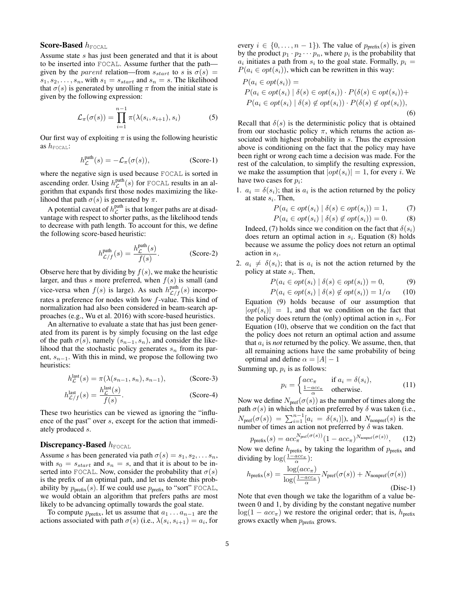# Score-Based  $h_{\text{FOCAL}}$

Assume state s has just been generated and that it is about to be inserted into FOCAL. Assume further that the path given by the parent relation—from  $s_{start}$  to s is  $\sigma(s)$  =  $s_1, s_2, \ldots, s_n$ , with  $s_1 = s_{start}$  and  $s_n = s$ . The likelihood that  $\sigma(s)$  is generated by unrolling  $\pi$  from the initial state is given by the following expression:

$$
\mathcal{L}_{\pi}(\sigma(s)) = \prod_{i=1}^{n-1} \pi(\lambda(s_i, s_{i+1}), s_i)
$$
 (5)

Our first way of exploiting  $\pi$  is using the following heuristic as  $h_{\text{FOCAL}}$ :

$$
h_{\mathcal{L}}^{\text{path}}(s) = -\mathcal{L}_{\pi}(\sigma(s)), \qquad (Score-1)
$$

where the negative sign is used because FOCAL is sorted in ascending order. Using  $h_{\mathcal{L}}^{\text{path}}(s)$  for FOCAL results in an algorithm that expands first those nodes maximizing the likelihood that path  $\sigma(s)$  is generated by  $\pi$ .

A potential caveat of  $h_{\mathcal{L}}^{\text{path}}$  is that longer paths are at disadvantage with respect to shorter paths, as the likelihood tends to decrease with path length. To account for this, we define the following score-based heuristic:

$$
h_{\mathcal{L}/f}^{\text{path}}(s) = \frac{h_{\mathcal{L}}^{\text{path}}(s)}{f(s)}.
$$
 (Score-2)

Observe here that by dividing by  $f(s)$ , we make the heuristic larger, and thus s more preferred, when  $f(s)$  is small (and vice-versa when  $f(s)$  is large). As such  $h_{\mathcal{L}/f}^{\text{path}}(s)$  incorporates a preference for nodes with low f-value. This kind of normalization had also been considered in beam-search approaches (e.g., Wu et al. 2016) with score-based heuristics.

An alternative to evaluate a state that has just been generated from its parent is by simply focusing on the last edge of the path  $\sigma(s)$ , namely  $(s_{n-1}, s_n)$ , and consider the likelihood that the stochastic policy generates  $s_n$  from its parent,  $s_{n-1}$ . With this in mind, we propose the following two heuristics:

$$
h_{\mathcal{L}}^{\text{last}}(s) = \pi(\lambda(s_{n-1}, s_n), s_{n-1}),
$$
 (Score-3)

$$
h_{\mathcal{L}/f}^{\text{last}}(s) = \frac{h_{\mathcal{L}}^{\text{last}}(s)}{f(s)}.
$$
 (Score-4)

These two heuristics can be viewed as ignoring the "influence of the past" over s, except for the action that immediately produced s.

# Discrepancy-Based  $h_{\text{FOCAL}}$

Assume s has been generated via path  $\sigma(s) = s_1, s_2, \ldots s_n$ , with  $s_0 = s_{start}$  and  $s_n = s$ , and that it is about to be inserted into FOCAL. Now, consider the probability that  $\sigma(s)$ is the prefix of an optimal path, and let us denote this probability by  $p_{\text{prefix}}(s)$ . If we could use  $p_{\text{prefix}}$  to "sort" FOCAL, we would obtain an algorithm that prefers paths are most likely to be advancing optimally towards the goal state.

To compute  $p_{\text{prefix}}$ , let us assume that  $a_1 \ldots a_{n-1}$  are the actions associated with path  $\sigma(s)$  (i.e.,  $\lambda(s_i, s_{i+1}) = a_i$ , for

every  $i \in \{0, \ldots, n-1\}$ . The value of  $p_{\text{prefix}}(s)$  is given by the product  $p_1 \cdot p_2 \cdots p_n$ , where  $p_i$  is the probability that  $a_i$  initiates a path from  $s_i$  to the goal state. Formally,  $p_i =$  $P(a_i \in opt(s_i))$ , which can be rewritten in this way:

$$
P(a_i \in opt(s_i)) =
$$
  
\n
$$
P(a_i \in opt(s_i) | \delta(s) \in opt(s_i)) \cdot P(\delta(s) \in opt(s_i)) +
$$
  
\n
$$
P(a_i \in opt(s_i) | \delta(s) \notin opt(s_i)) \cdot P(\delta(s) \notin opt(s_i)),
$$
  
\n(6)

Recall that  $\delta(s)$  is the deterministic policy that is obtained from our stochastic policy  $\pi$ , which returns the action associated with highest probability in s. Thus the expression above is conditioning on the fact that the policy may have been right or wrong each time a decision was made. For the rest of the calculation, to simplify the resulting expression, we make the assumption that  $|opt(s_i)| = 1$ , for every *i*. We have two cases for  $p_i$ :

1.  $a_i = \delta(s_i)$ ; that is  $a_i$  is the action returned by the policy at state  $s_i$ . Then,

$$
P(a_i \in opt(s_i) \mid \delta(s) \in opt(s_i)) = 1,\tag{7}
$$

$$
P(a_i \in opt(s_i) \mid \delta(s) \notin opt(s_i)) = 0.
$$
 (8)

Indeed, (7) holds since we condition on the fact that  $\delta(s_i)$ does return an optimal action in  $s_i$ . Equation (8) holds because we assume the policy does not return an optimal action in  $s_i$ .

2.  $a_i \neq \delta(s_i)$ ; that is  $a_i$  is not the action returned by the policy at state  $s_i$ . Then,

$$
P(a_i \in opt(s_i) \mid \delta(s) \in opt(s_i)) = 0,
$$
\n(9)

$$
P(a_i \in opt(s_i) \mid \delta(s) \notin opt(s_i)) = 1/\alpha \qquad (10)
$$

Equation (9) holds because of our assumption that  $|opt(s_i)| = 1$ , and that we condition on the fact that the policy does return the (only) optimal action in  $s_i$ . For Equation (10), observe that we condition on the fact that the policy does not return an optimal action and assume that  $a_i$  is *not* returned by the policy. We assume, then, that all remaining actions have the same probability of being optimal and define  $\alpha = |A| - 1$ 

Summing up,  $p_i$  is as follows:

$$
p_i = \begin{cases} acc_{\pi} & \text{if } a_i = \delta(s_i), \\ \frac{1 - acc_{\pi}}{\alpha} & \text{otherwise.} \end{cases}
$$
 (11)

Now we define  $N_{\text{pref}}(\sigma(s))$  as the number of times along the path  $\sigma(s)$  in which the action preferred by  $\delta$  was taken (i.e.,  $N_{\text{pref}}(\sigma(s)) = \sum_{i=1}^{n-1} [a_i = \delta(s_i)]$ ), and  $N_{\text{nonpref}}(s)$  is the number of times an action not preferred by  $\delta$  was taken.

$$
p_{\text{prefix}}(s) = acc_{\pi}^{N_{\text{pref}}(\sigma(s))} (1 - acc_{\pi})^{N_{\text{nonpref}}(\sigma(s))}, \quad (12)
$$

Now we define  $h_{\text{prefix}}$  by taking the logarithm of  $p_{\text{prefix}}$  and dividing by  $\log(\frac{1-acc_{\pi}}{\alpha})$ :

$$
h_{\text{prefix}}(s) = \frac{\log(ac_{\pi})}{\log(\frac{1 - acc_{\pi}}{\alpha})} N_{\text{pref}}(\sigma(s)) + N_{\text{nonpref}}(\sigma(s))
$$
\n(Disc-1)

Note that even though we take the logarithm of a value between 0 and 1, by dividing by the constant negative number  $log(1 - acc_{\pi})$  we restore the original order; that is,  $h_{\text{prefix}}$ grows exactly when  $p_{\text{prefix}}$  grows.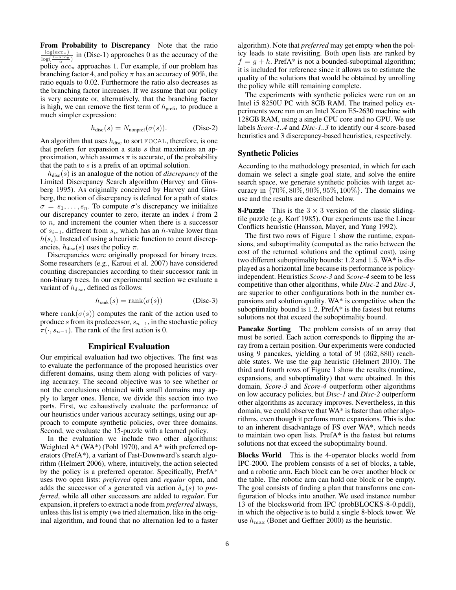From Probability to Discrepancy Note that the ratio  $\frac{\log (acc_{\pi})}{\log (\frac{1-acc_{\pi}}{\alpha})}$  in (Disc-1) approaches 0 as the accuracy of the policy  $acc_{\pi}$  approaches 1. For example, if our problem has branching factor 4, and policy  $\pi$  has an accuracy of 90%, the ratio equals to 0.02. Furthermore the ratio also decreases as the branching factor increases. If we assume that our policy is very accurate or, alternatively, that the branching factor is high, we can remove the first term of  $h_{\text{prefix}}$  to produce a much simpler expression:

$$
h_{\text{disc}}(s) = N_{\text{nonpref}}(\sigma(s)). \tag{Disc-2}
$$

An algorithm that uses  $h_{disc}$  to sort FOCAL, therefore, is one that prefers for expansion a state s that maximizes an approximation, which assumes  $\pi$  is accurate, of the probability that the path to  $s$  is a prefix of an optimal solution.

 $h_{\text{disc}}(s)$  is an analogue of the notion of *discrepancy* of the Limited Discrepancy Search algorithm (Harvey and Ginsberg 1995). As originally conceived by Harvey and Ginsberg, the notion of discrepancy is defined for a path of states  $\sigma = s_1, \ldots, s_n$ . To compute  $\sigma$ 's discrepancy we initialize our discrepancy counter to zero, iterate an index  $i$  from 2 to n, and increment the counter when there is a successor of  $s_{i-1}$ , different from  $s_i$ , which has an h-value lower than  $h(s<sub>i</sub>)$ . Instead of using a heuristic function to count discrepancies,  $h_{disc}(s)$  uses the policy  $\pi$ .

Discrepancies were originally proposed for binary trees. Some researchers (e.g., Karoui et al. 2007) have considered counting discrepancies according to their successor rank in non-binary trees. In our experimental section we evaluate a variant of  $h_{disc}$ , defined as follows:

$$
h_{\text{rank}}(s) = \text{rank}(\sigma(s)) \tag{Disc-3}
$$

where rank( $\sigma(s)$ ) computes the rank of the action used to produce s from its predecessor,  $s_{n-1}$ , in the stochastic policy  $\pi(\cdot, s_{n-1})$ . The rank of the first action is 0.

### Empirical Evaluation

Our empirical evaluation had two objectives. The first was to evaluate the performance of the proposed heuristics over different domains, using them along with policies of varying accuracy. The second objective was to see whether or not the conclusions obtained with small domains may apply to larger ones. Hence, we divide this section into two parts. First, we exhaustively evaluate the performance of our heuristics under various accuracy settings, using our approach to compute synthetic policies, over three domains. Second, we evaluate the 15-puzzle with a learned policy.

In the evaluation we include two other algorithms: Weighted A\* (WA\*) (Pohl 1970), and A\* with preferred operators (PrefA\*), a variant of Fast-Downward's search algorithm (Helmert 2006), where, intuitively, the action selected by the policy is a preferred operator. Specifically, PrefA\* uses two open lists: *preferred* open and *regular* open, and adds the successor of s generated via action  $\delta_{\pi}(s)$  to *preferred*, while all other successors are added to *regular*. For expansion, it prefers to extract a node from *preferred* always, unless this list is empty (we tried alternation, like in the original algorithm, and found that no alternation led to a faster algorithm). Note that *preferred* may get empty when the policy leads to state revisiting. Both open lists are ranked by  $f = g + h$ . PrefA\* is not a bounded-suboptimal algorithm; it is included for reference since it allows us to estimate the quality of the solutions that would be obtained by unrolling the policy while still remaining complete.

The experiments with synthetic policies were run on an Intel i5 8250U PC with 8GB RAM. The trained policy experiments were run on an Intel Xeon E5-2630 machine with 128GB RAM, using a single CPU core and no GPU. We use labels *Score-1..4* and *Disc-1..3* to identify our 4 score-based heuristics and 3 discrepancy-based heuristics, respectively.

### Synthetic Policies

According to the methodology presented, in which for each domain we select a single goal state, and solve the entire search space, we generate synthetic policies with target accuracy in {70%, 80%, 90%, 95%, 100%}. The domains we use and the results are described below.

**8-Puzzle** This is the  $3 \times 3$  version of the classic slidingtile puzzle (e.g. Korf 1985). Our experiments use the Linear Conflicts heuristic (Hansson, Mayer, and Yung 1992).

The first two rows of Figure 1 show the runtime, expansions, and suboptimality (computed as the ratio between the cost of the returned solutions and the optimal cost), using two different suboptimality bounds: 1.2 and 1.5. WA\* is displayed as a horizontal line because its performance is policyindependent. Heuristics *Score-3* and *Score-4* seem to be less competitive than other algorithms, while *Disc-2* and *Disc-3*, are superior to other configurations both in the number expansions and solution quality. WA\* is competitive when the suboptimality bound is 1.2. PrefA\* is the fastest but returns solutions not that exceed the suboptimality bound.

Pancake Sorting The problem consists of an array that must be sorted. Each action corresponds to flipping the array from a certain position. Our experiments were conducted using 9 pancakes, yielding a total of 9! (362, 880) reachable states. We use the gap heuristic (Helmert 2010). The third and fourth rows of Figure 1 show the results (runtime, expansions, and suboptimality) that were obtained. In this domain, *Score-3* and *Score-4* outperform other algorithms on low accuracy policies, but *Disc-1* and *Disc-2* outperform other algorithms as accuracy improves. Nevertheless, in this domain, we could observe that WA\* is faster than other algorithms, even though it perfoms more expansions. This is due to an inherent disadvantage of FS over WA\*, which needs to maintain two open lists. PrefA\* is the fastest but returns solutions not that exceed the suboptimality bound.

Blocks World This is the 4-operator blocks world from IPC-2000. The problem consists of a set of blocks, a table, and a robotic arm. Each block can be over another block or the table. The robotic arm can hold one block or be empty. The goal consists of finding a plan that transforms one configuration of blocks into another. We used instance number 13 of the blocksworld from IPC (probBLOCKS-8-0.pddl), in which the objective is to build a single 8-block tower. We use  $h_{\text{max}}$  (Bonet and Geffner 2000) as the heuristic.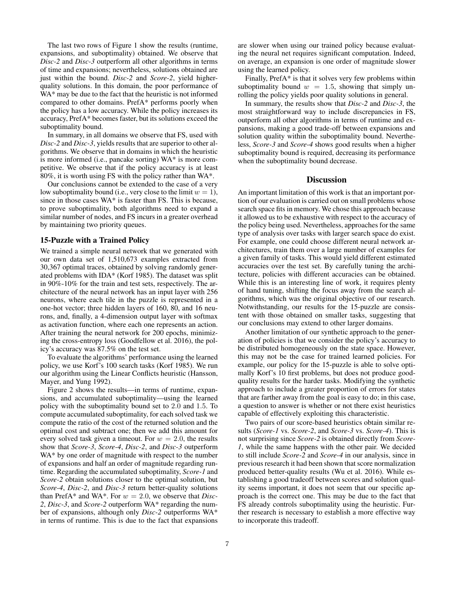The last two rows of Figure 1 show the results (runtime, expansions, and suboptimality) obtained. We observe that *Disc-2* and *Disc-3* outperform all other algorithms in terms of time and expansions; nevertheless, solutions obtained are just within the bound. *Disc-2* and *Score-2*, yield higherquality solutions. In this domain, the poor performance of WA\* may be due to the fact that the heuristic is not informed compared to other domains. PrefA\* performs poorly when the policy has a low accuracy. While the policy increases its accuracy, PrefA\* becomes faster, but its solutions exceed the suboptimality bound.

In summary, in all domains we observe that FS, used with *Disc-2* and *Disc-3*, yields results that are superior to other algorithms. We observe that in domains in which the heuristic is more informed (i.e., pancake sorting) WA\* is more competitive. We observe that if the policy accuracy is at least 80%, it is worth using FS with the policy rather than WA\*.

Our conclusions cannot be extended to the case of a very low suboptimality bound (i.e., very close to the limit  $w = 1$ ), since in those cases WA\* is faster than FS. This is because, to prove suboptimality, both algorithms need to expand a similar number of nodes, and FS incurs in a greater overhead by maintaining two priority queues.

### 15-Puzzle with a Trained Policy

We trained a simple neural network that we generated with our own data set of 1,510,673 examples extracted from 30,367 optimal traces, obtained by solving randomly generated problems with IDA\* (Korf 1985). The dataset was split in 90%-10% for the train and test sets, respectively. The architecture of the neural network has an input layer with 256 neurons, where each tile in the puzzle is represented in a one-hot vector; three hidden layers of 160, 80, and 16 neurons, and, finally, a 4-dimension output layer with softmax as activation function, where each one represents an action. After training the neural network for 200 epochs, minimizing the cross-entropy loss (Goodfellow et al. 2016), the policy's accuracy was 87.5% on the test set.

To evaluate the algorithms' performance using the learned policy, we use Korf's 100 search tasks (Korf 1985). We run our algorithm using the Linear Conflicts heuristic (Hansson, Mayer, and Yung 1992).

Figure 2 shows the results—in terms of runtime, expansions, and accumulated suboptimality—using the learned policy with the suboptimality bound set to 2.0 and 1.5. To compute accumulated suboptimality, for each solved task we compute the ratio of the cost of the returned solution and the optimal cost and subtract one; then we add this amount for every solved task given a timeout. For  $w = 2.0$ , the results show that *Score-3*, *Score-4*, *Disc-2*, and *Disc-3* outperform WA\* by one order of magnitude with respect to the number of expansions and half an order of magnitude regarding runtime. Regarding the accumulated suboptimality, *Score-1* and *Score-2* obtain solutions closer to the optimal solution, but *Score-4*, *Disc-2*, and *Disc-3* return better-quality solutions than PrefA\* and WA\*. For  $w = 2.0$ , we observe that *Disc*-*2*, *Disc-3*, and *Score-2* outperform WA\* regarding the number of expansions, although only *Disc-2* outperforms WA\* in terms of runtime. This is due to the fact that expansions are slower when using our trained policy because evaluating the neural net requires significant computation. Indeed, on average, an expansion is one order of magnitude slower using the learned policy.

Finally, PrefA\* is that it solves very few problems within suboptimality bound  $w = 1.5$ , showing that simply unrolling the policy yields poor quality solutions in general.

In summary, the results show that *Disc-2* and *Disc-3*, the most straightforward way to include discrepancies in FS, outperform all other algorithms in terms of runtime and expansions, making a good trade-off between expansions and solution quality within the suboptimality bound. Nevertheless, *Score-3* and *Score-4* shows good results when a higher suboptimality bound is required, decreasing its performance when the suboptimality bound decrease.

# **Discussion**

An important limitation of this work is that an important portion of our evaluation is carried out on small problems whose search space fits in memory. We chose this approach because it allowed us to be exhaustive with respect to the accuracy of the policy being used. Nevertheless, approaches for the same type of analysis over tasks with larger search space do exist. For example, one could choose different neural network architectures, train them over a large number of examples for a given family of tasks. This would yield different estimated accuracies over the test set. By carefully tuning the architecture, policies with different accuracies can be obtained. While this is an interesting line of work, it requires plenty of hand tuning, shifting the focus away from the search algorithms, which was the original objective of our research. Notwithstanding, our results for the 15-puzzle are consistent with those obtained on smaller tasks, suggesting that our conclusions may extend to other larger domains.

Another limitation of our synthetic approach to the generation of policies is that we consider the policy's accuracy to be distributed homogeneously on the state space. However, this may not be the case for trained learned policies. For example, our policy for the 15-puzzle is able to solve optimally Korf's 10 first problems, but does not produce goodquality results for the harder tasks. Modifying the synthetic approach to include a greater proportion of errors for states that are farther away from the goal is easy to do; in this case, a question to answer is whether or not there exist heuristics capable of effectively exploiting this characteristic.

Two pairs of our score-based heuristics obtain similar results (*Score-1* vs. *Score-2*, and *Score-3* vs. *Score-4*). This is not surprising since *Score-2* is obtained directly from *Score-1*, while the same happens with the other pair. We decided to still include *Score-2* and *Score-4* in our analysis, since in previous research it had been shown that score normalization produced better-quality results (Wu et al. 2016). While establishing a good tradeoff between scores and solution quality seems important, it does not seem that our specific approach is the correct one. This may be due to the fact that FS already controls suboptimality using the heuristic. Further research is necessary to establish a more effective way to incorporate this tradeoff.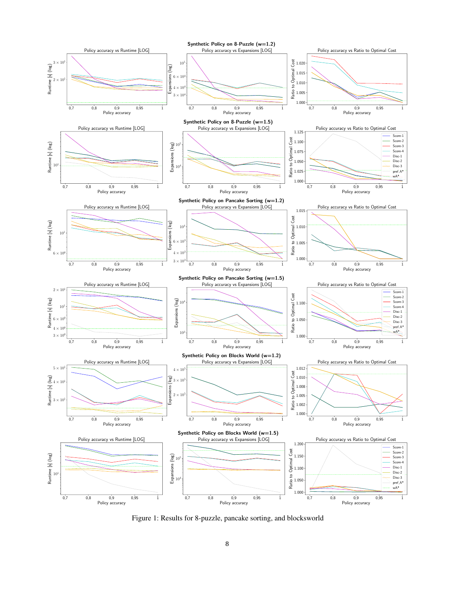

Figure 1: Results for 8-puzzle, pancake sorting, and blocksworld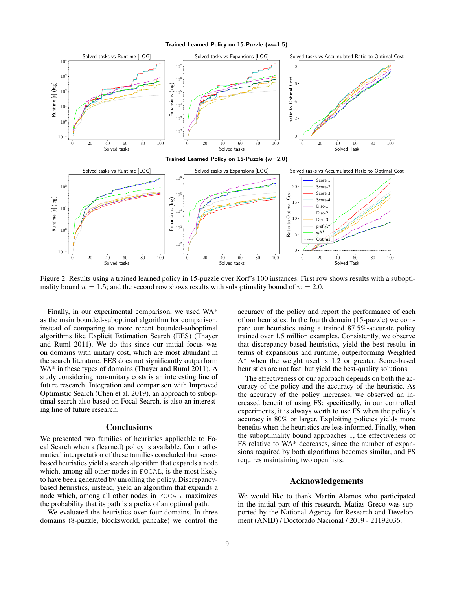Trained Learned Policy on 15-Puzzle (w=1.5)



Figure 2: Results using a trained learned policy in 15-puzzle over Korf's 100 instances. First row shows results with a suboptimality bound  $w = 1.5$ ; and the second row shows results with suboptimality bound of  $w = 2.0$ .

Finally, in our experimental comparison, we used WA\* as the main bounded-suboptimal algorithm for comparison, instead of comparing to more recent bounded-suboptimal algorithms like Explicit Estimation Search (EES) (Thayer and Ruml 2011). We do this since our initial focus was on domains with unitary cost, which are most abundant in the search literature. EES does not significantly outperform WA\* in these types of domains (Thayer and Ruml 2011). A study considering non-unitary costs is an interesting line of future research. Integration and comparison with Improved Optimistic Search (Chen et al. 2019), an approach to suboptimal search also based on Focal Search, is also an interesting line of future research.

# **Conclusions**

We presented two families of heuristics applicable to Focal Search when a (learned) policy is available. Our mathematical interpretation of these families concluded that scorebased heuristics yield a search algorithm that expands a node which, among all other nodes in FOCAL, is the most likely to have been generated by unrolling the policy. Discrepancybased heuristics, instead, yield an algorithm that expands a node which, among all other nodes in FOCAL, maximizes the probability that its path is a prefix of an optimal path.

We evaluated the heuristics over four domains. In three domains (8-puzzle, blocksworld, pancake) we control the accuracy of the policy and report the performance of each of our heuristics. In the fourth domain (15-puzzle) we compare our heuristics using a trained 87.5%-accurate policy trained over 1.5 million examples. Consistently, we observe that discrepancy-based heuristics, yield the best results in terms of expansions and runtime, outperforming Weighted A\* when the weight used is 1.2 or greater. Score-based heuristics are not fast, but yield the best-quality solutions.

The effectiveness of our approach depends on both the accuracy of the policy and the accuracy of the heuristic. As the accuracy of the policy increases, we observed an increased benefit of using FS; specifically, in our controlled experiments, it is always worth to use FS when the policy's accuracy is 80% or larger. Exploiting policies yields more benefits when the heuristics are less informed. Finally, when the suboptimality bound approaches 1, the effectiveness of FS relative to WA\* decreases, since the number of expansions required by both algorithms becomes similar, and FS requires maintaining two open lists.

# Acknowledgements

We would like to thank Martin Alamos who participated in the initial part of this research. Matias Greco was supported by the National Agency for Research and Development (ANID) / Doctorado Nacional / 2019 - 21192036.